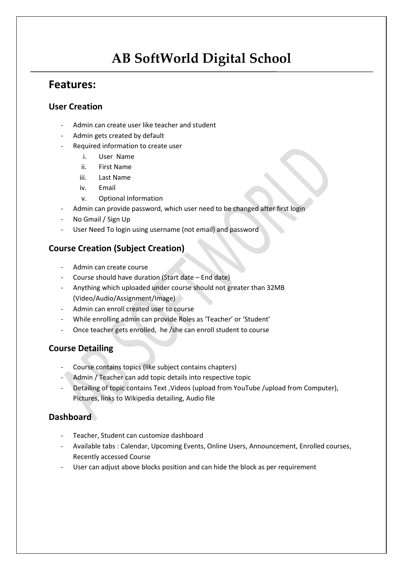# **AB SoftWorld Digital School**

# **Features:**

# **User Creation**

- Admin can create user like teacher and student
- Admin gets created by default
- Required information to create user
	- i. User Name
	- ii. First Name
	- iii. Last Name
	- iv. Email
	- v. Optional Information
- Admin can provide password, which user need to be changed after first login
- No Gmail / Sign Up
- User Need To login using username (not email) and password

# **Course Creation (Subject Creation)**

- Admin can create course
- Course should have duration (Start date End date)
- Anything which uploaded under course should not greater than 32MB (Video/Audio/Assignment/Image)
- Admin can enroll created user to course
- While enrolling admin can provide Roles as 'Teacher' or 'Student'
- Once teacher gets enrolled, he /she can enroll student to course

# **Course Detailing**

- Course contains topics (like subject contains chapters)
- Admin / Teacher can add topic details into respective topic
- Detailing of topic contains Text , Videos (upload from YouTube /upload from Computer), Pictures, links to Wikipedia detailing, Audio file

# **Dashboard**

- Teacher, Student can customize dashboard
- Available tabs : Calendar, Upcoming Events, Online Users, Announcement, Enrolled courses, Recently accessed Course
- User can adjust above blocks position and can hide the block as per requirement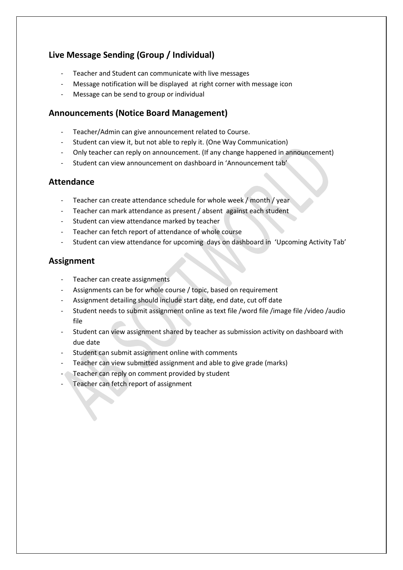# **Live Message Sending (Group / Individual)**

- Teacher and Student can communicate with live messages
- Message notification will be displayed at right corner with message icon
- Message can be send to group or individual

### **Announcements (Notice Board Management)**

- Teacher/Admin can give announcement related to Course.
- Student can view it, but not able to reply it. (One Way Communication)
- Only teacher can reply on announcement. (If any change happened in announcement)
- Student can view announcement on dashboard in 'Announcement tab'

#### **Attendance**

- Teacher can create attendance schedule for whole week / month / year
- Teacher can mark attendance as present / absent against each student
- Student can view attendance marked by teacher
- Teacher can fetch report of attendance of whole course
- Student can view attendance for upcoming days on dashboard in 'Upcoming Activity Tab'

## **Assignment**

- Teacher can create assignments
- Assignments can be for whole course / topic, based on requirement
- Assignment detailing should include start date, end date, cut off date
- Student needs to submit assignment online as text file /word file /image file /video /audio file
- Student can view assignment shared by teacher as submission activity on dashboard with due date
- Student can submit assignment online with comments
- Teacher can view submitted assignment and able to give grade (marks)
- Teacher can reply on comment provided by student
- Teacher can fetch report of assignment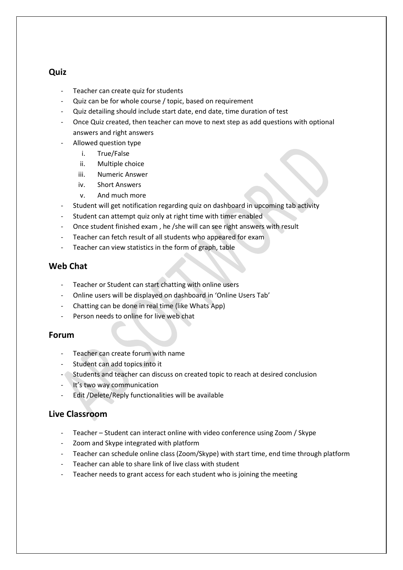#### **Quiz**

- Teacher can create quiz for students
- Quiz can be for whole course / topic, based on requirement
- Quiz detailing should include start date, end date, time duration of test
- Once Quiz created, then teacher can move to next step as add questions with optional answers and right answers
- Allowed question type
	- i. True/False
	- ii. Multiple choice
	- iii. Numeric Answer
	- iv. Short Answers
	- v. And much more
- Student will get notification regarding quiz on dashboard in upcoming tab activity
- Student can attempt quiz only at right time with timer enabled
- Once student finished exam , he /she will can see right answers with result
- Teacher can fetch result of all students who appeared for exam
- Teacher can view statistics in the form of graph, table

#### **Web Chat**

- Teacher or Student can start chatting with online users
- Online users will be displayed on dashboard in 'Online Users Tab'
- Chatting can be done in real time (like Whats App)
- Person needs to online for live web chat

#### **Forum**

- Teacher can create forum with name
- Student can add topics into it
- Students and teacher can discuss on created topic to reach at desired conclusion
- It's two way communication
- Edit /Delete/Reply functionalities will be available

#### **Live Classroom**

- Teacher Student can interact online with video conference using Zoom / Skype
- Zoom and Skype integrated with platform
- Teacher can schedule online class (Zoom/Skype) with start time, end time through platform
- Teacher can able to share link of live class with student
- Teacher needs to grant access for each student who is joining the meeting